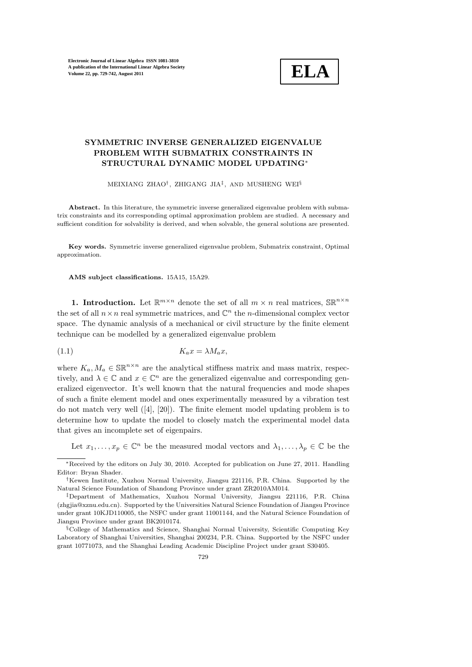

# SYMMETRIC INVERSE GENERALIZED EIGENVALUE PROBLEM WITH SUBMATRIX CONSTRAINTS IN STRUCTURAL DYNAMIC MODEL UPDATING<sup>∗</sup>

MEIXIANG ZHAO† , ZHIGANG JIA‡ , AND MUSHENG WEI§

Abstract. In this literature, the symmetric inverse generalized eigenvalue problem with submatrix constraints and its corresponding optimal approximation problem are studied. A necessary and sufficient condition for solvability is derived, and when solvable, the general solutions are presented.

Key words. Symmetric inverse generalized eigenvalue problem, Submatrix constraint, Optimal approximation.

AMS subject classifications. 15A15, 15A29.

**1. Introduction.** Let  $\mathbb{R}^{m \times n}$  denote the set of all  $m \times n$  real matrices,  $\mathbb{S} \mathbb{R}^{n \times n}$ the set of all  $n \times n$  real symmetric matrices, and  $\mathbb{C}^n$  the *n*-dimensional complex vector space. The dynamic analysis of a mechanical or civil structure by the finite element technique can be modelled by a generalized eigenvalue problem

$$
(1.1)\t\t\t K_a x = \lambda M_a x,
$$

where  $K_a, M_a \in \mathbb{SR}^{n \times n}$  are the analytical stiffness matrix and mass matrix, respectively, and  $\lambda \in \mathbb{C}$  and  $x \in \mathbb{C}^n$  are the generalized eigenvalue and corresponding generalized eigenvector. It's well known that the natural frequencies and mode shapes of such a finite element model and ones experimentally measured by a vibration test do not match very well  $([4], [20])$ . The finite element model updating problem is to determine how to update the model to closely match the experimental model data that gives an incomplete set of eigenpairs.

Let  $x_1, \ldots, x_p \in \mathbb{C}^n$  be the measured modal vectors and  $\lambda_1, \ldots, \lambda_p \in \mathbb{C}$  be the

<sup>∗</sup>Received by the editors on July 30, 2010. Accepted for publication on June 27, 2011. Handling Editor: Bryan Shader.

<sup>†</sup>Kewen Institute, Xuzhou Normal University, Jiangsu 221116, P.R. China. Supported by the Natural Science Foundation of Shandong Province under grant ZR2010AM014.

<sup>‡</sup>Department of Mathematics, Xuzhou Normal University, Jiangsu 221116, P.R. China (zhgjia@xznu.edu.cn). Supported by the Universities Natural Science Foundation of Jiangsu Province under grant 10KJD110005, the NSFC under grant 11001144, and the Natural Science Foundation of Jiangsu Province under grant BK2010174.

<sup>§</sup>College of Mathematics and Science, Shanghai Normal University, Scientific Computing Key Laboratory of Shanghai Universities, Shanghai 200234, P.R. China. Supported by the NSFC under grant 10771073, and the Shanghai Leading Academic Discipline Project under grant S30405.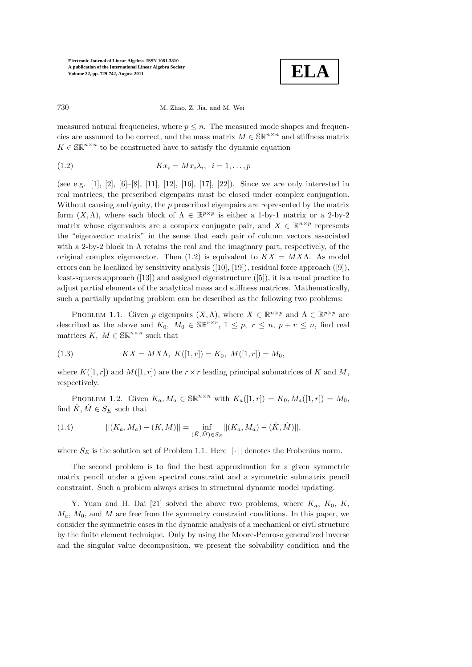

730 M. Zhao, Z. Jia, and M. Wei

measured natural frequencies, where  $p \leq n$ . The measured mode shapes and frequencies are assumed to be correct, and the mass matrix  $M \in \mathbb{SR}^{n \times n}$  and stiffness matrix  $K \in \mathbb{SR}^{n \times n}$  to be constructed have to satisfy the dynamic equation

$$
(1.2) \t Kx_i = Mx_i\lambda_i, \t i = 1, \ldots, p
$$

(see e.g. [1], [2], [6]–[8], [11], [12], [16], [17], [22]). Since we are only interested in real matrices, the prescribed eigenpairs must be closed under complex conjugation. Without causing ambiguity, the  $p$  prescribed eigenpairs are represented by the matrix form  $(X, \Lambda)$ , where each block of  $\Lambda \in \mathbb{R}^{p \times p}$  is either a 1-by-1 matrix or a 2-by-2 matrix whose eigenvalues are a complex conjugate pair, and  $X \in \mathbb{R}^{n \times p}$  represents the "eigenvector matrix" in the sense that each pair of column vectors associated with a 2-by-2 block in  $\Lambda$  retains the real and the imaginary part, respectively, of the original complex eigenvector. Then (1.2) is equivalent to  $KX = MX\Lambda$ . As model errors can be localized by sensitivity analysis ([10], [19]), residual force approach ([9]), least-squares approach ([13]) and assigned eigenstructure ([5]), it is a usual practice to adjust partial elements of the analytical mass and stiffness matrices. Mathematically, such a partially updating problem can be described as the following two problems:

PROBLEM 1.1. Given p eigenpairs  $(X, \Lambda)$ , where  $X \in \mathbb{R}^{n \times p}$  and  $\Lambda \in \mathbb{R}^{p \times p}$  are described as the above and  $K_0$ ,  $M_0 \in \mathbb{SR}^{r \times r}$ ,  $1 \leq p$ ,  $r \leq n$ ,  $p + r \leq n$ , find real matrices  $K, M \in \mathbb{SR}^{n \times n}$  such that

(1.3) 
$$
KX = MX\Lambda, K([1,r]) = K_0, M([1,r]) = M_0,
$$

where  $K([1, r])$  and  $M([1, r])$  are the  $r \times r$  leading principal submatrices of K and M, respectively.

PROBLEM 1.2. Given  $K_a, M_a \in \mathbb{SR}^{n \times n}$  with  $K_a([1, r]) = K_0, M_a([1, r]) = M_0$ , find  $\hat{K}, \hat{M} \in S_E$  such that

(1.4) 
$$
||(K_a, M_a) - (K, M)|| = \inf_{(\hat{K}, \hat{M}) \in S_E}||(K_a, M_a) - (\hat{K}, \hat{M})||,
$$

where  $S_E$  is the solution set of Problem 1.1. Here  $||\cdot||$  denotes the Frobenius norm.

The second problem is to find the best approximation for a given symmetric matrix pencil under a given spectral constraint and a symmetric submatrix pencil constraint. Such a problem always arises in structural dynamic model updating.

Y. Yuan and H. Dai [21] solved the above two problems, where  $K_a$ ,  $K_0$ ,  $K$ ,  $M_a$ ,  $M_0$ , and M are free from the symmetry constraint conditions. In this paper, we consider the symmetric cases in the dynamic analysis of a mechanical or civil structure by the finite element technique. Only by using the Moore-Penrose generalized inverse and the singular value decomposition, we present the solvability condition and the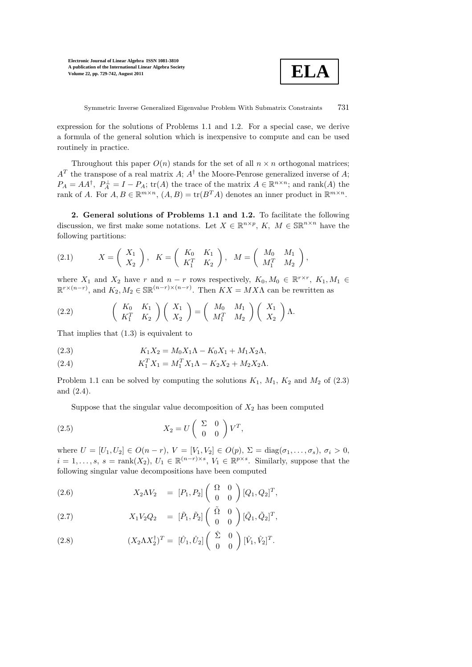

Symmetric Inverse Generalized Eigenvalue Problem With Submatrix Constraints 731

expression for the solutions of Problems 1.1 and 1.2. For a special case, we derive a formula of the general solution which is inexpensive to compute and can be used routinely in practice.

Throughout this paper  $O(n)$  stands for the set of all  $n \times n$  orthogonal matrices;  $A<sup>T</sup>$  the transpose of a real matrix  $A$ ;  $A<sup>\dagger</sup>$  the Moore-Penrose generalized inverse of  $A$ ;  $P_A = AA^{\dagger}$ ,  $P_A^{\perp} = I - P_A$ ;  $\text{tr}(A)$  the trace of the matrix  $A \in \mathbb{R}^{n \times n}$ ; and  $\text{rank}(A)$  the rank of A. For  $A, B \in \mathbb{R}^{m \times n}$ ,  $(A, B) = \text{tr}(B^T A)$  denotes an inner product in  $\mathbb{R}^{m \times n}$ .

2. General solutions of Problems 1.1 and 1.2. To facilitate the following discussion, we first make some notations. Let  $X \in \mathbb{R}^{n \times p}$ ,  $K$ ,  $M \in \mathbb{SR}^{n \times n}$  have the following partitions:

(2.1) 
$$
X = \left(\begin{array}{c} X_1 \\ X_2 \end{array}\right), \quad K = \left(\begin{array}{cc} K_0 & K_1 \\ K_1^T & K_2 \end{array}\right), \quad M = \left(\begin{array}{cc} M_0 & M_1 \\ M_1^T & M_2 \end{array}\right),
$$

where  $X_1$  and  $X_2$  have r and  $n-r$  rows respectively,  $K_0, M_0 \in \mathbb{R}^{r \times r}$ ,  $K_1, M_1 \in$  $\mathbb{R}^{r \times (n-r)}$ , and  $K_2, M_2 \in \mathbb{SR}^{(n-r) \times (n-r)}$ . Then  $KX = MX\Lambda$  can be rewritten as

(2.2) 
$$
\begin{pmatrix} K_0 & K_1 \ K_1^T & K_2 \end{pmatrix} \begin{pmatrix} X_1 \ X_2 \end{pmatrix} = \begin{pmatrix} M_0 & M_1 \ M_1^T & M_2 \end{pmatrix} \begin{pmatrix} X_1 \ X_2 \end{pmatrix} \Lambda.
$$

That implies that (1.3) is equivalent to

(2.3) 
$$
K_1 X_2 = M_0 X_1 \Lambda - K_0 X_1 + M_1 X_2 \Lambda,
$$

(2.4) 
$$
K_1^T X_1 = M_1^T X_1 \Lambda - K_2 X_2 + M_2 X_2 \Lambda.
$$

Problem 1.1 can be solved by computing the solutions  $K_1$ ,  $M_1$ ,  $K_2$  and  $M_2$  of (2.3) and (2.4).

Suppose that the singular value decomposition of  $X_2$  has been computed

(2.5) 
$$
X_2 = U \begin{pmatrix} \Sigma & 0 \\ 0 & 0 \end{pmatrix} V^T,
$$

where  $U = [U_1, U_2] \in O(n-r)$ ,  $V = [V_1, V_2] \in O(p)$ ,  $\Sigma = \text{diag}(\sigma_1, ..., \sigma_s)$ ,  $\sigma_i > 0$ ,  $i = 1, \ldots, s, s = \text{rank}(X_2), U_1 \in \mathbb{R}^{(n-r)\times s}, V_1 \in \mathbb{R}^{p\times s}$ . Similarly, suppose that the following singular value decompositions have been computed

(2.6) 
$$
X_2 \Lambda V_2 = [P_1, P_2] \begin{pmatrix} \Omega & 0 \\ 0 & 0 \end{pmatrix} [Q_1, Q_2]^T,
$$

(2.7) 
$$
X_1 V_2 Q_2 = [\tilde{P}_1, \tilde{P}_2] \begin{pmatrix} \tilde{\Omega} & 0 \\ 0 & 0 \end{pmatrix} [\tilde{Q}_1, \tilde{Q}_2]^T,
$$

(2.8) 
$$
(X_2 \Lambda X_2^{\dagger})^T = [\hat{U}_1, \hat{U}_2] \begin{pmatrix} \hat{\Sigma} & 0 \\ 0 & 0 \end{pmatrix} [\hat{V}_1, \hat{V}_2]^T.
$$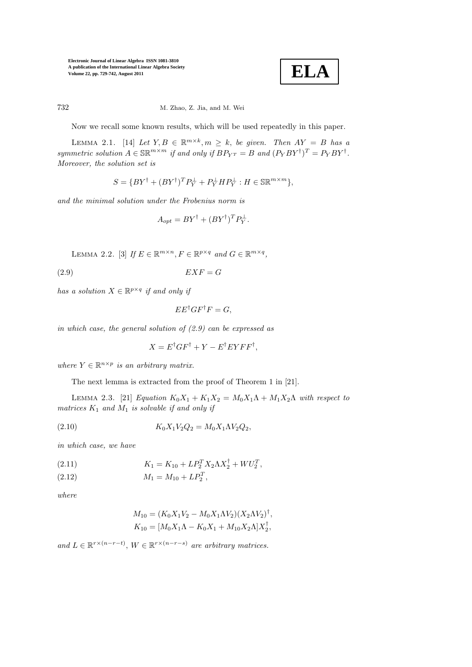

### 732 M. Zhao, Z. Jia, and M. Wei

Now we recall some known results, which will be used repeatedly in this paper.

LEMMA 2.1. [14] Let  $Y, B \in \mathbb{R}^{m \times k}, m \geq k$ , be given. Then  $AY = B$  has a symmetric solution  $A \in \mathbb{SR}^{m \times m}$  if and only if  $BP_{Y^T} = B$  and  $(P_Y BY^{\dagger})^T = P_Y BY^{\dagger}$ . Moreover, the solution set is

$$
S = \{ BY^{\dagger} + (BY^{\dagger})^T P_Y^{\perp} + P_Y^{\perp} H P_Y^{\perp} : H \in \mathbb{SR}^{m \times m} \},
$$

and the minimal solution under the Frobenius norm is

$$
A_{opt} = BY^{\dagger} + (BY^{\dagger})^T P_Y^{\perp}.
$$

LEMMA 2.2. [3] If  $E \in \mathbb{R}^{m \times n}$ ,  $F \in \mathbb{R}^{p \times q}$  and  $G \in \mathbb{R}^{m \times q}$ ,

 $EXF = G$ 

has a solution  $X \in \mathbb{R}^{p \times q}$  if and only if

$$
EE^{\dagger}GF^{\dagger}F=G,
$$

in which case, the general solution of  $(2.9)$  can be expressed as

$$
X = E^{\dagger}GF^{\dagger} + Y - E^{\dagger}EYFF^{\dagger},
$$

where  $Y \in \mathbb{R}^{n \times p}$  is an arbitrary matrix.

The next lemma is extracted from the proof of Theorem 1 in [21].

LEMMA 2.3. [21] Equation  $K_0X_1 + K_1X_2 = M_0X_1\Lambda + M_1X_2\Lambda$  with respect to matrices  $K_1$  and  $M_1$  is solvable if and only if

(2.10) 
$$
K_0 X_1 V_2 Q_2 = M_0 X_1 \Lambda V_2 Q_2,
$$

in which case, we have

(2.11) 
$$
K_1 = K_{10} + LP_2^T X_2 \Lambda X_2^{\dagger} + W U_2^T,
$$

$$
(2.12) \t\t M_1 = M_{10} + LP_2^T,
$$

where

$$
M_{10} = (K_0 X_1 V_2 - M_0 X_1 \Lambda V_2)(X_2 \Lambda V_2)^{\dagger},
$$
  
\n
$$
K_{10} = [M_0 X_1 \Lambda - K_0 X_1 + M_{10} X_2 \Lambda] X_2^{\dagger},
$$

and  $L \in \mathbb{R}^{r \times (n-r-t)}$ ,  $W \in \mathbb{R}^{r \times (n-r-s)}$  are arbitrary matrices.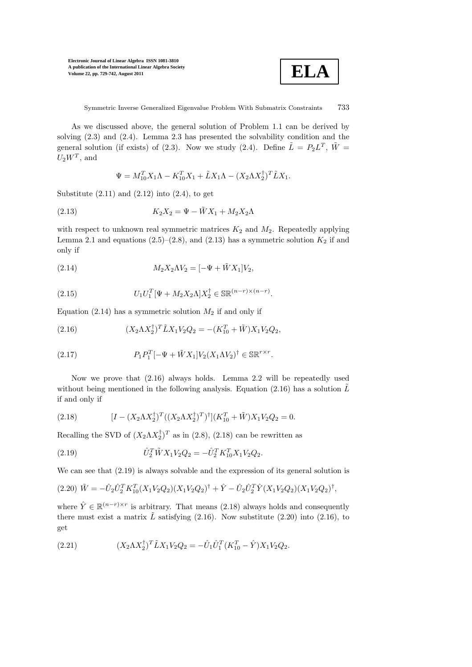

As we discussed above, the general solution of Problem 1.1 can be derived by solving (2.3) and (2.4). Lemma 2.3 has presented the solvability condition and the general solution (if exists) of (2.3). Now we study (2.4). Define  $\tilde{L} = P_2 L^T$ ,  $\tilde{W} =$  $U_2W^T$ , and

$$
\Psi = M_{10}^T X_1 \Lambda - K_{10}^T X_1 + \tilde{L} X_1 \Lambda - (X_2 \Lambda X_2^{\dagger})^T \tilde{L} X_1.
$$

Substitute  $(2.11)$  and  $(2.12)$  into  $(2.4)$ , to get

(2.13) 
$$
K_2 X_2 = \Psi - \tilde{W} X_1 + M_2 X_2 \Lambda
$$

with respect to unknown real symmetric matrices  $K_2$  and  $M_2$ . Repeatedly applying Lemma 2.1 and equations (2.5)–(2.8), and (2.13) has a symmetric solution  $K_2$  if and only if

(2.14) 
$$
M_2 X_2 \Lambda V_2 = [-\Psi + \tilde{W} X_1] V_2,
$$

(2.15) 
$$
U_1 U_1^T [\Psi + M_2 X_2 \Lambda] X_2^{\dagger} \in \mathbb{SR}^{(n-r)\times(n-r)}.
$$

Equation  $(2.14)$  has a symmetric solution  $M_2$  if and only if

(2.16) 
$$
(X_2 \Lambda X_2^{\dagger})^T \tilde{L} X_1 V_2 Q_2 = -(K_{10}^T + \tilde{W}) X_1 V_2 Q_2,
$$

(2.17) 
$$
P_1 P_1^T [-\Psi + \tilde{W} X_1] V_2 (X_1 \Lambda V_2)^{\dagger} \in \mathbb{S} \mathbb{R}^{r \times r}.
$$

Now we prove that (2.16) always holds. Lemma 2.2 will be repeatedly used without being mentioned in the following analysis. Equation (2.16) has a solution  $\tilde{L}$ if and only if

(2.18) 
$$
[I - (X_2 \Lambda X_2^{\dagger})^T ((X_2 \Lambda X_2^{\dagger})^T)^{\dagger}](K_{10}^T + \tilde{W})X_1 V_2 Q_2 = 0.
$$

Recalling the SVD of  $(X_2 \Lambda X_2^{\dagger})^T$  as in (2.8), (2.18) can be rewritten as

(2.19) 
$$
\hat{U}_2^T \tilde{W} X_1 V_2 Q_2 = -\hat{U}_2^T K_{10}^T X_1 V_2 Q_2.
$$

We can see that  $(2.19)$  is always solvable and the expression of its general solution is

$$
(2.20)\ \tilde{W} = -\hat{U}_2 \hat{U}_2^T K_{10}^T (X_1 V_2 Q_2) (X_1 V_2 Q_2)^{\dagger} + \hat{Y} - \hat{U}_2 \hat{U}_2^T \hat{Y} (X_1 V_2 Q_2) (X_1 V_2 Q_2)^{\dagger},
$$

where  $\hat{Y} \in \mathbb{R}^{(n-r)\times r}$  is arbitrary. That means (2.18) always holds and consequently there must exist a matrix  $\tilde{L}$  satisfying (2.16). Now substitute (2.20) into (2.16), to get

(2.21) 
$$
(X_2 \Lambda X_2^{\dagger})^T \tilde{L} X_1 V_2 Q_2 = -\hat{U}_1 \hat{U}_1^T (K_{10}^T - \hat{Y}) X_1 V_2 Q_2.
$$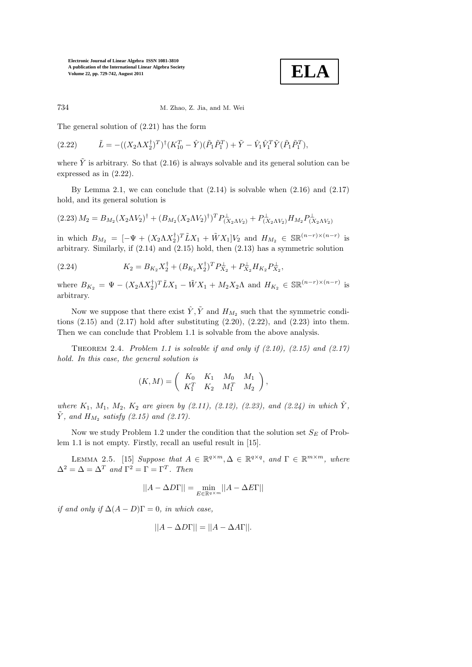

734 M. Zhao, Z. Jia, and M. Wei

The general solution of (2.21) has the form

$$
(2.22) \qquad \tilde{L} = -((X_2 \Lambda X_2^{\dagger})^T)^{\dagger} (K_{10}^T - \hat{Y}) (\tilde{P}_1 \tilde{P}_1^T) + \tilde{Y} - \hat{V}_1 \hat{V}_1^T \tilde{Y} (\tilde{P}_1 \tilde{P}_1^T),
$$

where  $\tilde{Y}$  is arbitrary. So that (2.16) is always solvable and its general solution can be expressed as in (2.22).

By Lemma 2.1, we can conclude that  $(2.14)$  is solvable when  $(2.16)$  and  $(2.17)$ hold, and its general solution is

$$
(2.23) M_2 = B_{M_2} (X_2 \Lambda V_2)^{\dagger} + (B_{M_2} (X_2 \Lambda V_2)^{\dagger})^T P_{(X_2 \Lambda V_2)}^{\perp} + P_{(X_2 \Lambda V_2)}^{\perp} H_{M_2} P_{(X_2 \Lambda V_2)}^{\perp}
$$

in which  $B_{M_2} = [-\Psi + (X_2 \Lambda X_2^{\dagger})^T \tilde{L} X_1 + \tilde{W} X_1] V_2$  and  $H_{M_2} \in \mathbb{SR}^{(n-r)\times(n-r)}$  is arbitrary. Similarly, if (2.14) and (2.15) hold, then (2.13) has a symmetric solution

(2.24) 
$$
K_2 = B_{K_2} X_2^{\dagger} + (B_{K_2} X_2^{\dagger})^T P_{X_2}^{\perp} + P_{X_2}^{\perp} H_{K_2} P_{X_2}^{\perp},
$$

where  $B_{K_2} = \Psi - (X_2 \Lambda X_2^{\dagger})^T \tilde{L} X_1 - \tilde{W} X_1 + M_2 X_2 \Lambda$  and  $H_{K_2} \in \mathbb{SR}^{(n-r)\times(n-r)}$  is arbitrary.

Now we suppose that there exist  $\hat{Y}, \tilde{Y}$  and  $H_{M_2}$  such that the symmetric conditions  $(2.15)$  and  $(2.17)$  hold after substituting  $(2.20)$ ,  $(2.22)$ , and  $(2.23)$  into them. Then we can conclude that Problem 1.1 is solvable from the above analysis.

THEOREM 2.4. Problem 1.1 is solvable if and only if  $(2.10)$ ,  $(2.15)$  and  $(2.17)$ hold. In this case, the general solution is

$$
(K,M) = \left( \begin{array}{ccc} K_0 & K_1 & M_0 & M_1 \\ K_1^T & K_2 & M_1^T & M_2 \end{array} \right),
$$

where  $K_1$ ,  $M_1$ ,  $M_2$ ,  $K_2$  are given by  $(2.11)$ ,  $(2.12)$ ,  $(2.23)$ , and  $(2.24)$  in which  $\hat{Y}$ ,  $\tilde{Y}$ , and  $H_{M_2}$  satisfy (2.15) and (2.17).

Now we study Problem 1.2 under the condition that the solution set  $S_E$  of Problem 1.1 is not empty. Firstly, recall an useful result in [15].

LEMMA 2.5. [15] Suppose that  $A \in \mathbb{R}^{q \times m}, \Delta \in \mathbb{R}^{q \times q}$ , and  $\Gamma \in \mathbb{R}^{m \times m}$ , where  $\Delta^2 = \Delta = \Delta^T$  and  $\Gamma^2 = \Gamma = \Gamma^T$ . Then

$$
||A - \Delta D\Gamma|| = \min_{E \in \mathbb{R}^{q \times m}} ||A - \Delta E\Gamma||
$$

if and only if  $\Delta(A-D)\Gamma=0$ , in which case,

$$
||A - \Delta D\Gamma|| = ||A - \Delta A\Gamma||.
$$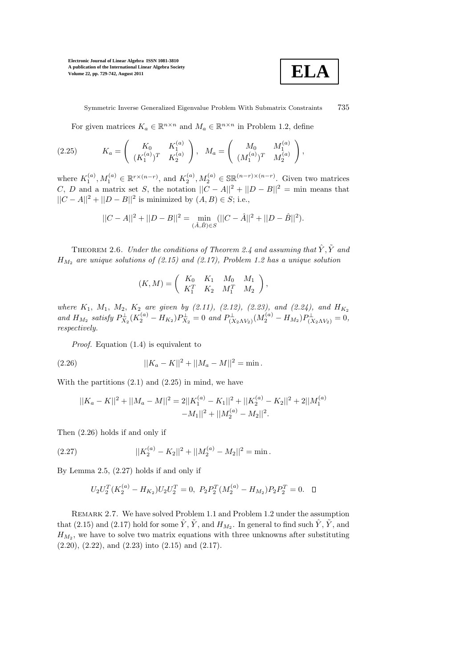

Symmetric Inverse Generalized Eigenvalue Problem With Submatrix Constraints 735

For given matrices  $K_a \in \mathbb{R}^{n \times n}$  and  $M_a \in \mathbb{R}^{n \times n}$  in Problem 1.2, define

$$
(2.25) \t K_a = \begin{pmatrix} K_0 & K_1^{(a)} \\ (K_1^{(a)})^T & K_2^{(a)} \end{pmatrix}, \t M_a = \begin{pmatrix} M_0 & M_1^{(a)} \\ (M_1^{(a)})^T & M_2^{(a)} \end{pmatrix},
$$

where  $K_1^{(a)}, M_1^{(a)} \in \mathbb{R}^{r \times (n-r)}$ , and  $K_2^{(a)}, M_2^{(a)} \in \mathbb{SR}^{(n-r) \times (n-r)}$ . Given two matrices C, D and a matrix set S, the notation  $||C - A||^2 + ||D - B||^2 = \text{min}$  means that  $||C - A||^2 + ||D - B||^2$  is minimized by  $(A, B) \in S$ ; i.e.,

$$
||C - A||2 + ||D - B||2 = \min_{(\hat{A}, \hat{B}) \in S} (||C - \hat{A}||2 + ||D - \hat{B}||2).
$$

THEOREM 2.6. Under the conditions of Theorem 2.4 and assuming that  $\hat{Y}, \tilde{Y}$  and  $H_{M_2}$  are unique solutions of (2.15) and (2.17), Problem 1.2 has a unique solution

$$
(K,M) = \begin{pmatrix} K_0 & K_1 & M_0 & M_1 \ K_1^T & K_2 & M_1^T & M_2 \end{pmatrix},
$$

where  $K_1$ ,  $M_1$ ,  $M_2$ ,  $K_2$  are given by (2.11), (2.12), (2.23), and (2.24), and  $H_{K_2}$ and  $H_{M_2}$  satisfy  $P_{X_2}^{\perp}(K_2^{(a)} - H_{K_2})P_{X_2}^{\perp} = 0$  and  $P_{(X_2 \Lambda V_2)}^{\perp}(M_2^{(a)} - H_{M_2})P_{(X_2 \Lambda V_2)}^{\perp} = 0$ , respectively.

Proof. Equation (1.4) is equivalent to

(2.26) 
$$
||K_a - K||^2 + ||M_a - M||^2 = \min.
$$

With the partitions  $(2.1)$  and  $(2.25)$  in mind, we have

$$
||K_a - K||^2 + ||M_a - M||^2 = 2||K_1^{(a)} - K_1||^2 + ||K_2^{(a)} - K_2||^2 + 2||M_1^{(a)} - M_1||^2 + ||M_2^{(a)} - M_2||^2.
$$

Then (2.26) holds if and only if

(2.27) 
$$
||K_2^{(a)} - K_2||^2 + ||M_2^{(a)} - M_2||^2 = \min.
$$

By Lemma 2.5, (2.27) holds if and only if

$$
U_2 U_2^T (K_2^{(a)} - H_{K_2}) U_2 U_2^T = 0, \ P_2 P_2^T (M_2^{(a)} - H_{M_2}) P_2 P_2^T = 0. \quad \Box
$$

Remark 2.7. We have solved Problem 1.1 and Problem 1.2 under the assumption that (2.15) and (2.17) hold for some  $\hat{Y}$ ,  $\tilde{Y}$ , and  $H_{M_2}$ . In general to find such  $\hat{Y}$ ,  $\tilde{Y}$ , and  $H_{M_2}$ , we have to solve two matrix equations with three unknowns after substituting  $(2.20), (2.22), \text{ and } (2.23) \text{ into } (2.15) \text{ and } (2.17).$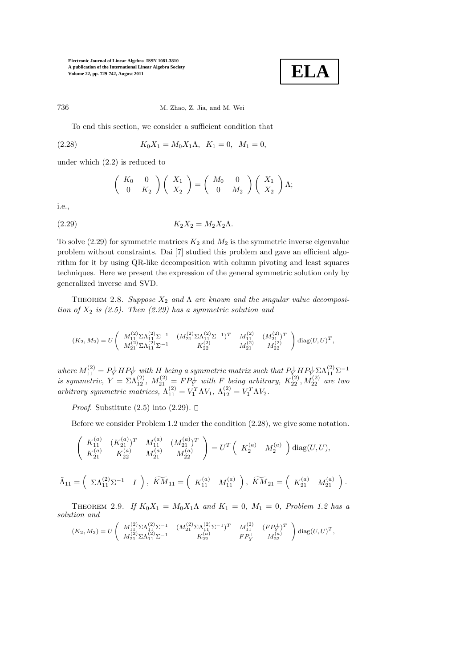

,

736 M. Zhao, Z. Jia, and M. Wei

To end this section, we consider a sufficient condition that

(2.28) 
$$
K_0 X_1 = M_0 X_1 \Lambda, \quad K_1 = 0, \quad M_1 = 0,
$$

under which (2.2) is reduced to

$$
\left(\begin{array}{cc} K_0 & 0 \\ 0 & K_2 \end{array}\right) \left(\begin{array}{c} X_1 \\ X_2 \end{array}\right) = \left(\begin{array}{cc} M_0 & 0 \\ 0 & M_2 \end{array}\right) \left(\begin{array}{c} X_1 \\ X_2 \end{array}\right) \Lambda;
$$

i.e.,

$$
(2.29) \t\t K_2 X_2 = M_2 X_2 \Lambda.
$$

To solve  $(2.29)$  for symmetric matrices  $K_2$  and  $M_2$  is the symmetric inverse eigenvalue problem without constraints. Dai [7] studied this problem and gave an efficient algorithm for it by using QR-like decomposition with column pivoting and least squares techniques. Here we present the expression of the general symmetric solution only by generalized inverse and SVD.

THEOREM 2.8. Suppose  $X_2$  and  $\Lambda$  are known and the singular value decomposition of  $X_2$  is (2.5). Then (2.29) has a symmetric solution and

$$
(K_2,M_2)=U\left(\begin{array}{cccc} M_{11}^{(2)}\Sigma\Lambda_{11}^{(2)}\Sigma^{-1} & (M_{21}^{(2)}\Sigma\Lambda_{11}^{(2)}\Sigma^{-1})^T & M_{11}^{(2)} & (M_{21}^{(2)})^T \\ M_{21}^{(2)}\Sigma\Lambda_{11}^{(2)}\Sigma^{-1} & K_{22}^{(2)} & M_{21}^{(2)} & M_{22}^{(2)} \end{array}\right)\operatorname{diag}(U,U)^T,
$$

where  $M_{11}^{(2)} = P_Y^{\perp} H P_Y^{\perp}$  with H being a symmetric matrix such that  $P_{Y_{\infty}}^{\perp} H P_{Y_{\infty}}^{\perp} \Sigma \Lambda_{11}^{(2)} \Sigma^{-1}$ is symmetric,  $Y = \Sigma \Lambda_{12}^{(2)}$ ,  $M_{21}^{(2)} = F P_Y^{\perp}$  with F being arbitrary,  $K_{22}^{(2)}$ ,  $M_{22}^{(2)}$  are two arbitrary symmetric matrices,  $\Lambda_{11}^{(2)} = V_1^T \Lambda V_1$ ,  $\Lambda_{12}^{(2)} = V_1^T \Lambda V_2$ .

*Proof.* Substitute  $(2.5)$  into  $(2.29)$ .  $\Box$ 

Before we consider Problem 1.2 under the condition (2.28), we give some notation.

$$
\left(\begin{array}{cc} K_{11}^{(a)} & (K_{21}^{(a)})^T & M_{11}^{(a)} & (M_{21}^{(a)})^T \\ K_{21}^{(a)} & K_{22}^{(a)} & M_{21}^{(a)} & M_{22}^{(a)} \end{array}\right)=U^T\left(\begin{array}{cc} K_2^{(a)} & M_2^{(a)} \end{array}\right)\mathrm{diag}(U,U),
$$

$$
\tilde{\Lambda}_{11} = \left( \begin{array}{cc} \Sigma \Lambda_{11}^{(2)} \Sigma^{-1} & I \end{array} \right), \ \widetilde{KM}_{11} = \left( \begin{array}{cc} K_{11}^{(a)} & M_{11}^{(a)} \end{array} \right), \ \widetilde{KM}_{21} = \left( \begin{array}{cc} K_{21}^{(a)} & M_{21}^{(a)} \end{array} \right).
$$

THEOREM 2.9. If  $K_0X_1 = M_0X_1\Lambda$  and  $K_1 = 0$ ,  $M_1 = 0$ , Problem 1.2 has a solution and

$$
(K_2,M_2)=U\left(\begin{array}{cccc} M_{11}^{(2)}\Sigma\Lambda_{11}^{(2)}\Sigma^{-1} & (M_{21}^{(2)}\Sigma\Lambda_{11}^{(2)}\Sigma^{-1})^T & M_{11}^{(2)} & (FP_Y^\perp)^T \\ M_{21}^{(2)}\Sigma\Lambda_{11}^{(2)}\Sigma^{-1} & K_{22}^{(a)} & FP_Y^\perp & M_{22}^{(a)} \end{array}\right)\mathrm{diag}(U,U)^T
$$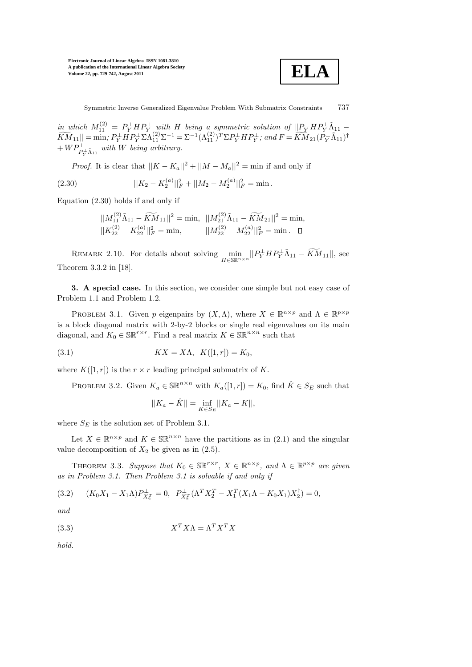

in which  $M_{11}^{(2)} = P_Y^{\perp} H P_Y^{\perp}$  with H being a symmetric solution of  $||P_Y^{\perp} H P_Y^{\perp} \tilde{\Lambda}_{11} \widetilde{KM}_{11}|| = \min; P_Y^{\perp}HP_Y^{\perp} \Sigma \Lambda_{11}^{(2)} \Sigma^{-1} = \Sigma^{-1} (\Lambda_{11}^{(2)})^T \Sigma P_Y^{\perp} HP_Y^{\perp};$  and  $F = \widetilde{KM}_{21}(P_Y^{\perp} \widetilde{\Lambda}_{11})^{\dagger}$  $+ \, W P_{P_{\overline{Y}}^{\perp} \tilde{\Lambda}_{11}}^{\perp}$  with W being arbitrary.

*Proof.* It is clear that  $||K - K_a||^2 + ||M - M_a||^2 = \min$  if and only if

(2.30) 
$$
||K_2 - K_2^{(a)}||_F^2 + ||M_2 - M_2^{(a)}||_F^2 = \min.
$$

Equation (2.30) holds if and only if

$$
||M_{11}^{(2)}\tilde{\Lambda}_{11}-\widetilde{KM}_{11}||^2=\text{min},\ \ ||M_{21}^{(2)}\tilde{\Lambda}_{11}-\widetilde{KM}_{21}||^2=\text{min},\\ ||K_{22}^{(2)}-K_{22}^{(a)}||_F^2=\text{min},\qquad \ \ ||M_{22}^{(2)}-M_{22}^{(a)}||_F^2=\text{min}.\ \ \, \Box
$$

REMARK 2.10. For details about solving  $\min_{H \in \mathbb{SR}^{n \times n}} ||P_Y^{\perp} H P_Y^{\perp} \tilde{\Lambda}_{11} - \widetilde{KM}_{11}||$ , see Theorem 3.3.2 in [18].

3. A special case. In this section, we consider one simple but not easy case of Problem 1.1 and Problem 1.2.

PROBLEM 3.1. Given p eigenpairs by  $(X, \Lambda)$ , where  $X \in \mathbb{R}^{n \times p}$  and  $\Lambda \in \mathbb{R}^{p \times p}$ is a block diagonal matrix with 2-by-2 blocks or single real eigenvalues on its main diagonal, and  $K_0 \in \mathbb{SR}^{r \times r}$ . Find a real matrix  $K \in \mathbb{SR}^{n \times n}$  such that

(3.1) 
$$
KX = X\Lambda, K([1, r]) = K_0,
$$

where  $K([1, r])$  is the  $r \times r$  leading principal submatrix of K.

PROBLEM 3.2. Given  $K_a \in \mathbb{SR}^{n \times n}$  with  $K_a([1, r]) = K_0$ , find  $\hat{K} \in S_E$  such that

$$
||K_a - \hat{K}|| = \inf_{K \in S_E} ||K_a - K||,
$$

where  $S_E$  is the solution set of Problem 3.1.

Let  $X \in \mathbb{R}^{n \times p}$  and  $K \in \mathbb{SR}^{n \times n}$  have the partitions as in (2.1) and the singular value decomposition of  $X_2$  be given as in (2.5).

THEOREM 3.3. Suppose that  $K_0 \in \mathbb{SR}^{r \times r}$ ,  $X \in \mathbb{R}^{n \times p}$ , and  $\Lambda \in \mathbb{R}^{p \times p}$  are given as in Problem 3.1. Then Problem 3.1 is solvable if and only if

$$
(3.2) \qquad (K_0X_1 - X_1\Lambda)P_{X_2^T}^{\perp} = 0, \quad P_{X_2^T}^{\perp}(\Lambda^T X_2^T - X_1^T(X_1\Lambda - K_0X_1)X_2^{\dagger}) = 0,
$$

and

X<sup>T</sup> XΛ = Λ (3.3) <sup>T</sup> X<sup>T</sup> X

hold.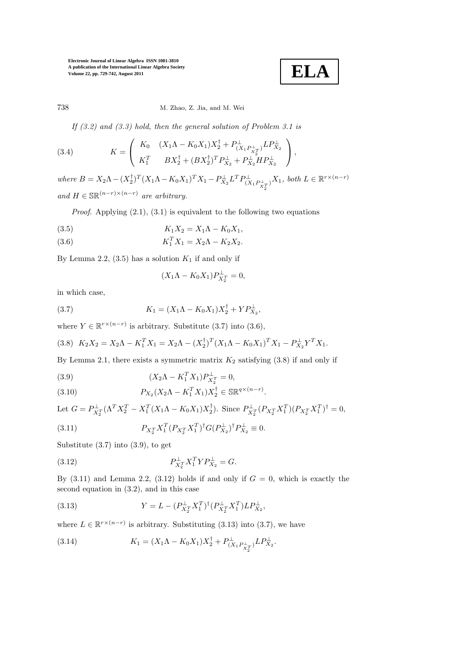$$
\boxed{\textbf{ELA}}
$$

### 738 M. Zhao, Z. Jia, and M. Wei

If  $(3.2)$  and  $(3.3)$  hold, then the general solution of Problem 3.1 is

(3.4) 
$$
K = \begin{pmatrix} K_0 & (X_1 \Lambda - K_0 X_1) X_2^{\dagger} + P_{(X_1 P_{X_1}^{\perp})}^{\perp} L P_{X_2}^{\perp} \\ K_1^T & B X_2^{\dagger} + (B X_2^{\dagger})^T P_{X_2}^{\perp} + P_{X_2}^{\perp} H P_{X_2}^{\perp} \end{pmatrix},
$$

 $where B = X_2 \Lambda - (X_2^{\dagger})^T (X_1 \Lambda - K_0 X_1)^T X_1 - P_{X_2}^{\perp} L^T P_{(X_1 P_{X_2}^{\perp})}^{\perp} X_1, both L \in \mathbb{R}^{r \times (n-r)}$ and  $H \in \mathbb{SR}^{(n-r)\times(n-r)}$  are arbitrary.

*Proof.* Applying  $(2.1), (3.1)$  is equivalent to the following two equations

(3.5) 
$$
K_1 X_2 = X_1 \Lambda - K_0 X_1,
$$

(3.6) 
$$
K_1^T X_1 = X_2 \Lambda - K_2 X_2.
$$

By Lemma 2.2,  $(3.5)$  has a solution  $K_1$  if and only if

$$
(X_1 \Lambda - K_0 X_1) P_{X_2^T}^{\perp} = 0,
$$

in which case,

(3.7) 
$$
K_1 = (X_1 \Lambda - K_0 X_1) X_2^{\dagger} + Y P_{X_2}^{\perp},
$$

where  $Y \in \mathbb{R}^{r \times (n-r)}$  is arbitrary. Substitute (3.7) into (3.6),

$$
(3.8)\ \ K_2X_2 = X_2\Lambda - K_1^T X_1 = X_2\Lambda - (X_2^{\dagger})^T (X_1\Lambda - K_0 X_1)^T X_1 - P_{X_2}^{\perp} Y^T X_1.
$$

By Lemma 2.1, there exists a symmetric matrix  $K_2$  satisfying  $(3.8)$  if and only if

(3.9) 
$$
(X_2 \Lambda - K_1^T X_1) P_{X_2^T}^{\perp} = 0,
$$

(3.10) 
$$
P_{X_2}(X_2\Lambda - K_1^T X_1)X_2^{\dagger} \in \mathbb{SR}^{q \times (n-r)}.
$$

Let 
$$
G = P_{X_2^T}^{\perp} (\Lambda^T X_2^T - X_1^T (X_1 \Lambda - K_0 X_1) X_2^{\dagger}).
$$
 Since  $P_{X_2^T}^{\perp} (P_{X_2^T} X_1^T) (P_{X_2^T} X_1^T)^{\dagger} = 0,$   
(3.11) 
$$
P_{X_2^T} X_1^T (P_{X_2^T} X_1^T)^{\dagger} G (P_{X_2}^{\perp})^{\dagger} P_{X_2}^{\perp} \equiv 0.
$$

Substitute (3.7) into (3.9), to get

(3.12) 
$$
P_{X_2^T}^{\perp} X_1^T Y P_{X_2}^{\perp} = G.
$$

By  $(3.11)$  and Lemma 2.2,  $(3.12)$  holds if and only if  $G = 0$ , which is exactly the second equation in (3.2), and in this case

(3.13) 
$$
Y = L - (P_{X_2^T}^{\perp} X_1^T)^{\dagger} (P_{X_2^T}^{\perp} X_1^T) L P_{X_2}^{\perp},
$$

where  $L \in \mathbb{R}^{r \times (n-r)}$  is arbitrary. Substituting (3.13) into (3.7), we have

(3.14) 
$$
K_1 = (X_1 \Lambda - K_0 X_1) X_2^{\dagger} + P_{(X_1 P_{X_2}^{\perp})}^{\perp} L P_{X_2}^{\perp}.
$$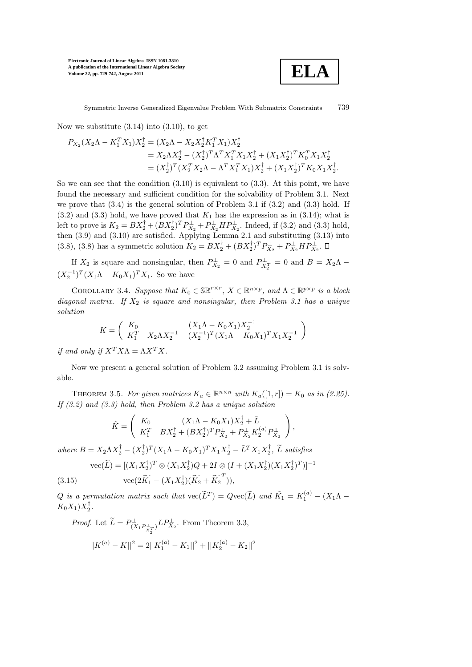

Symmetric Inverse Generalized Eigenvalue Problem With Submatrix Constraints 739

Now we substitute  $(3.14)$  into  $(3.10)$ , to get

$$
P_{X_2}(X_2\Lambda - K_1^T X_1)X_2^{\dagger} = (X_2\Lambda - X_2 X_2^{\dagger} K_1^T X_1)X_2^{\dagger}
$$
  
=  $X_2 \Lambda X_2^{\dagger} - (X_2^{\dagger})^T \Lambda^T X_1^T X_1 X_2^{\dagger} + (X_1 X_2^{\dagger})^T K_0^T X_1 X_2^{\dagger}$   
=  $(X_2^{\dagger})^T (X_2^T X_2\Lambda - \Lambda^T X_1^T X_1)X_2^{\dagger} + (X_1 X_2^{\dagger})^T K_0 X_1 X_2^{\dagger}$ .

So we can see that the condition  $(3.10)$  is equivalent to  $(3.3)$ . At this point, we have found the necessary and sufficient condition for the solvability of Problem 3.1. Next we prove that  $(3.4)$  is the general solution of Problem 3.1 if  $(3.2)$  and  $(3.3)$  hold. If  $(3.2)$  and  $(3.3)$  hold, we have proved that  $K_1$  has the expression as in  $(3.14)$ ; what is left to prove is  $K_2 = BX_2^{\dagger} + (BX_2^{\dagger})^T P_{X_2}^{\perp} + P_{X_2}^{\perp} HP_{X_2}^{\perp}$ . Indeed, if (3.2) and (3.3) hold, then (3.9) and (3.10) are satisfied. Applying Lemma 2.1 and substituting (3.13) into (3.8), (3.8) has a symmetric solution  $K_2 = BX_2^{\dagger} + (BX_2^{\dagger})^T P_{X_2}^{\perp} + P_{X_2}^{\perp} H P_{X_2}^{\perp}$ .

If  $X_2$  is square and nonsingular, then  $P_{X_2}^{\perp} = 0$  and  $P_{X_2^T}^{\perp} = 0$  and  $B = X_2 \Lambda$  $(X_2^{-1})^T (X_1 \Lambda - K_0 X_1)^T X_1$ . So we have

COROLLARY 3.4. Suppose that  $K_0 \in \mathbb{SR}^{r \times r}$ ,  $X \in \mathbb{R}^{n \times p}$ , and  $\Lambda \in \mathbb{R}^{p \times p}$  is a block diagonal matrix. If  $X_2$  is square and nonsingular, then Problem 3.1 has a unique solution

$$
K = \begin{pmatrix} K_0 & (X_1 \Lambda - K_0 X_1) X_2^{-1} \\ K_1^T & X_2 \Lambda X_2^{-1} - (X_2^{-1})^T (X_1 \Lambda - K_0 X_1)^T X_1 X_2^{-1} \end{pmatrix}
$$

if and only if  $X^T X \Lambda = \Lambda X^T X$ .

Now we present a general solution of Problem 3.2 assuming Problem 3.1 is solvable.

THEOREM 3.5. For given matrices  $K_a \in \mathbb{R}^{n \times n}$  with  $K_a([1, r]) = K_0$  as in (2.25). If  $(3.2)$  and  $(3.3)$  hold, then Problem 3.2 has a unique solution

$$
\hat{K} = \begin{pmatrix} K_0 & (X_1 \Lambda - K_0 X_1) X_2^{\dagger} + \tilde{L} \\ K_1^T & B X_2^{\dagger} + (B X_2^{\dagger})^T P_{X_2}^{\dagger} + P_{X_2}^{\dagger} K_2^{(a)} P_{X_2}^{\dagger} \end{pmatrix},
$$

where  $B = X_2 \Lambda X_2^{\dagger} - (X_2^{\dagger})^T (X_1 \Lambda - K_0 X_1)^T X_1 X_2^{\dagger} - \tilde{L}^T X_1 X_2^{\dagger}, \ \tilde{L}$  satisfies

(3.15) 
$$
\text{vec}(\widetilde{L}) = [(X_1 X_2^{\dagger})^T \otimes (X_1 X_2^{\dagger}) Q + 2I \otimes (I + (X_1 X_2^{\dagger}) (X_1 X_2^{\dagger})^T)]^{-1}
$$

$$
\text{vec}(2\widetilde{K}_1 - (X_1 X_2^{\dagger}) (\widetilde{K}_2 + \widetilde{K}_2^T)),
$$

Q is a permutation matrix such that  $\text{vec}(\widetilde{L}^T) = Q \text{vec}(\widetilde{L})$  and  $\widetilde{K}_1 = K_1^{(a)} - (X_1 \Lambda K_0X_1)X_2^{\dagger}$ .

*Proof.* Let  $\widetilde{L} = P^{\perp}_{(X_1 P^{\perp}_{X_1^T})} L P^{\perp}_{X_2}$ . From Theorem 3.3,

$$
||K^{(a)} - K||^2 = 2||K_1^{(a)} - K_1||^2 + ||K_2^{(a)} - K_2||^2
$$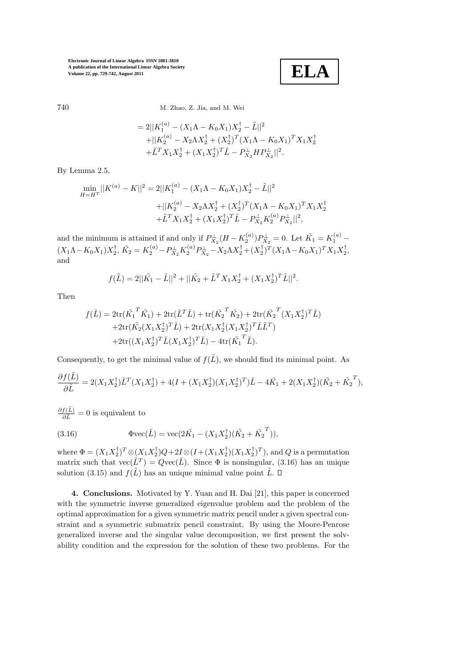**ELA**

#### 740 M. Zhao, Z. Jia, and M. Wei

$$
= 2||K_1^{(a)} - (X_1\Lambda - K_0X_1)X_2^{\dagger} - \tilde{L}||^2
$$
  
+||K\_2^{(a)} - X\_2\Lambda X\_2^{\dagger} + (X\_2^{\dagger})^T (X\_1\Lambda - K\_0X\_1)^T X\_1X\_2^{\dagger}  
+ \tilde{L}^T X\_1X\_2^{\dagger} + (X\_1X\_2^{\dagger})^T \tilde{L} - P\_{X\_2}^{\dagger} H P\_{X\_2}^{\dagger}||^2.

By Lemma 2.5,

$$
\min_{H=H^{T}} ||K^{(a)} - K||^{2} = 2||K_{1}^{(a)} - (X_{1}\Lambda - K_{0}X_{1})X_{2}^{\dagger} - \tilde{L}||^{2}
$$
  
 
$$
+ ||K_{2}^{(a)} - X_{2}\Lambda X_{2}^{\dagger} + (X_{2}^{\dagger})^{T}(X_{1}\Lambda - K_{0}X_{1})^{T}X_{1}X_{2}^{\dagger}
$$
  
 
$$
+ \tilde{L}^{T}X_{1}X_{2}^{\dagger} + (X_{1}X_{2}^{\dagger})^{T}\tilde{L} - P_{X_{2}}^{\dagger}K_{2}^{(a)}P_{X_{2}}^{\dagger}||^{2},
$$

and the minimum is attained if and only if  $P_{X_2}^{\perp}(H - K_2^{(a)})P_{X_2}^{\perp} = 0$ . Let  $\tilde{K_1} = K_1^{(a)}$  –  $(X_1\Lambda - K_0X_1)X_2^{\dagger}$ ,  $\tilde{K_2} = K_2^{(a)} - P_{X_2}^{\perp}K_2^{(a)}P_{X_2}^{\perp} - X_2\Lambda X_2^{\dagger} + (X_2^{\dagger})^T(X_1\Lambda - K_0X_1)^TX_1X_2^{\dagger}$ , and

$$
f(\tilde{L}) = 2||\tilde{K_1} - \tilde{L}||^2 + ||\tilde{K_2} + \tilde{L}^T X_1 X_2^{\dagger} + (X_1 X_2^{\dagger})^T \tilde{L}||^2.
$$

Then

$$
f(\tilde{L}) = 2\text{tr}(\tilde{K_1}^T \tilde{K_1}) + 2\text{tr}(\tilde{L}^T \tilde{L}) + \text{tr}(\tilde{K_2}^T \tilde{K_2}) + 2\text{tr}(\tilde{K_2}^T (X_1 X_2^{\dagger})^T \tilde{L})
$$
  
+2\text{tr}(\tilde{K\_2} (X\_1 X\_2^{\dagger})^T \tilde{L}) + 2\text{tr}(X\_1 X\_2^{\dagger} (X\_1 X\_2^{\dagger})^T \tilde{L} \tilde{L}^T)  
+2\text{tr}((X\_1 X\_2^{\dagger})^T \tilde{L} (X\_1 X\_2^{\dagger})^T \tilde{L}) - 4\text{tr}(\tilde{K\_1}^T \tilde{L}).

Consequently, to get the minimal value of  $f(\tilde{L})$ , we should find its minimal point. As

$$
\frac{\partial f(\tilde{L})}{\partial \tilde{L}} = 2(X_1 X_2^{\dagger}) \tilde{L}^T (X_1 X_2^{\dagger}) + 4(I + (X_1 X_2^{\dagger}) (X_1 X_2^{\dagger})^T) \tilde{L} - 4\tilde{K}_1 + 2(X_1 X_2^{\dagger}) (\tilde{K}_2 + \tilde{K}_2^T),
$$

 $\frac{\partial f(\tilde{L})}{\partial \tilde{L}} = 0$  is equivalent to

(3.16) 
$$
\Phi \text{vec}(\tilde{L}) = \text{vec}(2\tilde{K}_1 - (X_1X_2^{\dagger})(\tilde{K}_2 + \tilde{K}_2^T)),
$$

where  $\Phi = (X_1 X_2^{\dagger})^T \otimes (X_1 X_2^{\dagger}) Q + 2I \otimes (I + (X_1 X_2^{\dagger}) (X_1 X_2^{\dagger})^T)$ , and Q is a permutation matrix such that  $\text{vec}(\tilde{L}^T) = Q \text{vec}(\tilde{L})$ . Since  $\Phi$  is nonsingular, (3.16) has an unique solution (3.15) and  $f(\tilde{L})$  has an unique minimal value point  $\tilde{L}$ .  $\Box$ 

4. Conclusions. Motivated by Y. Yuan and H. Dai [21], this paper is concerned with the symmetric inverse generalized eigenvalue problem and the problem of the optimal approximation for a given symmetric matrix pencil under a given spectral constraint and a symmetric submatrix pencil constraint. By using the Moore-Penrose generalized inverse and the singular value decomposition, we first present the solvability condition and the expression for the solution of these two problems. For the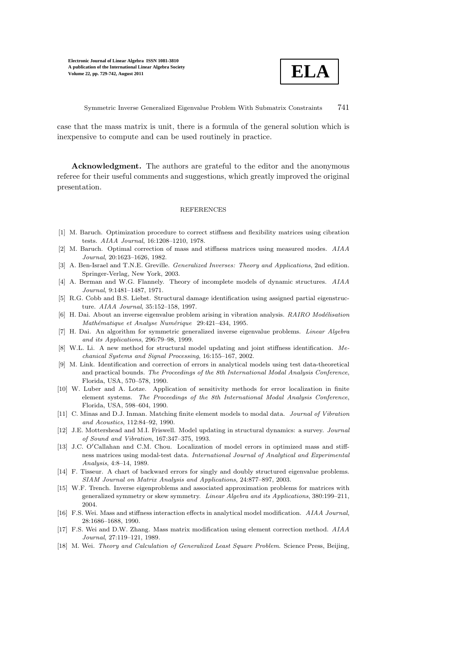

Symmetric Inverse Generalized Eigenvalue Problem With Submatrix Constraints 741

case that the mass matrix is unit, there is a formula of the general solution which is inexpensive to compute and can be used routinely in practice.

Acknowledgment. The authors are grateful to the editor and the anonymous referee for their useful comments and suggestions, which greatly improved the original presentation.

#### **REFERENCES**

- [1] M. Baruch. Optimization procedure to correct stiffness and flexibility matrices using cibration tests. AIAA Journal, 16:1208–1210, 1978.
- [2] M. Baruch. Optimal correction of mass and stiffness matrices using measured modes. AIAA Journal, 20:1623–1626, 1982.
- [3] A. Ben-Israel and T.N.E. Greville. *Generalized Inverses: Theory and Applications*, 2nd edition. Springer-Verlag, New York, 2003.
- [4] A. Berman and W.G. Flannely. Theory of incomplete models of dynamic structures. AIAA Journal, 9:1481–1487, 1971.
- [5] R.G. Cobb and B.S. Liebst. Structural damage identification using assigned partial eigenstructure. AIAA Journal, 35:152–158, 1997.
- $[6]$  H. Dai. About an inverse eigenvalue problem arising in vibration analysis. RAIRO Modélisation Mathématique et Analyse Numérique 29:421-434, 1995.
- [7] H. Dai. An algorithm for symmetric generalized inverse eigenvalue problems. Linear Algebra and its Applications, 296:79–98, 1999.
- [8] W.L. Li. A new method for structural model updating and joint stiffness identification. Mechanical Systems and Signal Processing, 16:155–167, 2002.
- [9] M. Link. Identification and correction of errors in analytical models using test data-theoretical and practical bounds. The Proceedings of the 8th International Modal Analysis Conference, Florida, USA, 570–578, 1990.
- [10] W. Luber and A. Lotze. Application of sensitivity methods for error localization in finite element systems. The Proceedings of the 8th International Modal Analysis Conference, Florida, USA, 598–604, 1990.
- [11] C. Minas and D.J. Inman. Matching finite element models to modal data. Journal of Vibration and Acoustics, 112:84–92, 1990.
- [12] J.E. Mottershead and M.I. Friswell. Model updating in structural dynamics: a survey. Journal of Sound and Vibration, 167:347–375, 1993.
- [13] J.C. O′Callahan and C.M. Chou. Localization of model errors in optimized mass and stiffness matrices using modal-test data. International Journal of Analytical and Experimental Analysis, 4:8–14, 1989.
- [14] F. Tisseur. A chart of backward errors for singly and doubly structured eigenvalue problems. SIAM Journal on Matrix Analysis and Applications, 24:877–897, 2003.
- [15] W.F. Trench. Inverse eigenproblems and associated approximation problems for matrices with generalized symmetry or skew symmetry. Linear Algebra and its Applications, 380:199–211, 2004.
- [16] F.S. Wei. Mass and stiffness interaction effects in analytical model modification. AIAA Journal, 28:1686–1688, 1990.
- [17] F.S. Wei and D.W. Zhang. Mass matrix modification using element correction method. AIAA Journal, 27:119–121, 1989.
- [18] M. Wei. Theory and Calculation of Generalized Least Square Problem. Science Press, Beijing,